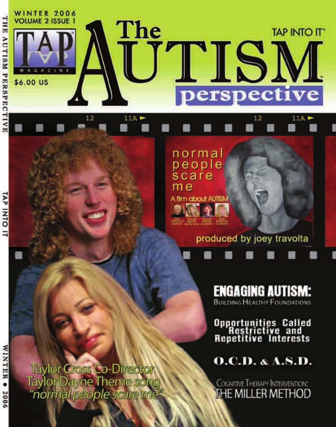

normal people scare me A film about AUTISM

# produced by joey travolta

 $11A$ 

**ENGAGING AUTISM: BUILDING HEALTHY FOUNDATIONS** 

**Opportunities Called<br>Restrictive and<br>Repetitive Interests** 

 $O.C.D.  $\&$  A.S.D.$ 

COGNITIVE THERAPY INTERVENTION:<br>THE MILLER METHOD

**Taylor Cross Co-Director** Taylor Dayne Theme song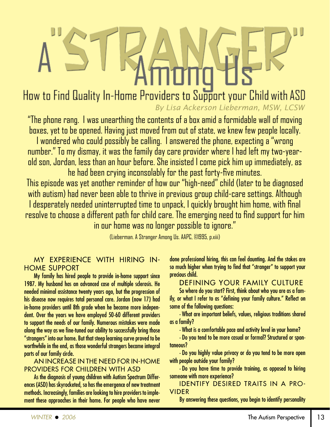How to Find Quality In-Home Providers to Support your Child with ASD *By Lisa Ackerson Lieberman, MSW, LCSW* 

"The phone rang. I was unearthing the contents of a box amid a formidable wall of moving boxes, yet to be opened. Having just moved from out of state, we knew few people locally. I wondered who could possibly be calling. I answered the phone, expecting a "wrong number." To my dismay, it was the family day care provider where I had left my two-yearold son, Jordan, less than an hour before. She insisted I come pick him up immediately, as

he had been crying inconsolably for the past forty-five minutes.

This episode was yet another reminder of how our "high-need" child (later to be diagnosed with autism) had never been able to thrive in previous group child-care settings. Although I desperately needed uninterrupted time to unpack, I quickly brought him home, with final resolve to choose a different path for child care. The emerging need to find support for him in our home was no longer possible to ignore."

(Lieberman. A Stranger Among Us. AAPC, ©1995, p.xiii)

## MY EXPERIENCE WITH HIRING IN-HOME SUPPORT

My family has hired people to provide in-home support since 1987. My husband has an advanced case of multiple sclerosis. He needed minimal assistance twenty years ago, but the progression of his disease now requires total personal care. Jordan (now 17) had in-home providers until 8th grade when he became more independent. Over the years we have employed 50-60 different providers to support the needs of our family. Numerous mistakes were made along the way as we fine-tuned our ability to successfully bring those "strangers" into our home. But that steep learning curve proved to be worthwhile in the end, as those wonderful strangers became integral parts of our family circle.

### AN INCREASE IN THE NEED FOR IN-HOME PROVIDERS FOR CHILDREN WITH ASD

As the diagnosis of young children with Autism Spectrum Differences (ASD) has skyrocketed, so has the emergence of new treatment methods. Increasingly, families are looking to hire providers to implement these approaches in their home. For people who have never done professional hiring, this can feel daunting. And the stakes are so much higher when trying to find that "stranger" to support your precious child.

## DEFINING YOUR FAMILY CULTURE

So where do you start? First, think about who you are as a family, or what I refer to as "defining your family culture." Reflect on some of the following questions:

•What are important beliefs, values, religious traditions shared as a family?

•What is a comfortable pace and activity level in your home?

•Do you tend to be more casual or formal? Structured or spontaneous?

•Do you highly value privacy or do you tend to be more open with people outside your family?

•Do you have time to provide training, as opposed to hiring someone with more experience?

IDENTIFY DESIRED TRAITS IN A PRO-VIDER

By answering these questions, you begin to identify personality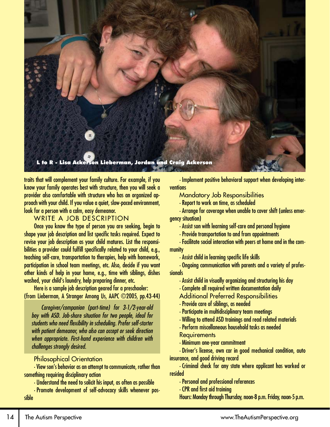

traits that will complement your family culture. For example, if you know your family operates best with structure, then you will seek a provider also comfortable with structure who has an organized approach with your child. If you value a quiet, slow-paced environment, look for a person with a calm, easy demeanor.

### WRITE A JOB DESCRIPTION

Once you know the type of person you are seeking, begin to shape your job description and list specific tasks required. Expect to revise your job description as your child matures. List the responsibilities a provider could fulfill specifically related to your child, e.g., teaching self-care, transportation to therapies, help with homework, participation in school team meetings, etc. Also, decide if you want other kinds of help in your home, e.g., time with siblings, dishes washed, your child's laundry, help preparing dinner, etc.

Here is a sample job description geared for a preschooler: (from Lieberman, A Stranger Among Us, AAPC ©2005, pp.43-44)

*Caregiver/companion (part-time) for 3-1/2-year-old boy with ASD. Job-share situation for two people, ideal for students who need flexibility in scheduling. Prefer self-starter with patient demeanor, who also can accept or seek direction when appropriate. First-hand experience with children with challenges strongly desired.*

#### Philosophical Orientation

•View son's behavior as an attempt to communicate, rather than something requiring disciplinary action

•Understand the need to solicit his input, as often as possible

•Promote development of self-advocacy skills whenever possible

•Implement positive behavioral support when developing interventions

Mandatory Job Responsibilities

•Report to work on time, as scheduled

•Arrange for coverage when unable to cover shift (unless emergency situation)

- •Assist son with learning self-care and personal hygiene
- •Provide transportation to and from appointments

•Facilitate social interaction with peers at home and in the community

•Assist child in learning specific life skills

•Ongoing communication with parents and a variety of professionals

- •Assist child in visually organizing and structuring his day
- •Complete all required written documentation daily
- Additional Preferred Responsibilities
- •Provide care of siblings, as needed
- •Participate in multidisciplinary team meetings
- •Willing to attend ASD trainings and read related materials
- •Perform miscellaneous household tasks as needed **Requirements**
- 
- •Minimum one-year commitment •Driver's license, own car in good mechanical condition, auto

insurance, and good driving record

•Criminal check for any state where applicant has worked or resided

•Personal and professional references

•CPR and first aid training

Hours: Monday through Thursday, noon-8 p.m. Friday, noon-5 p.m.